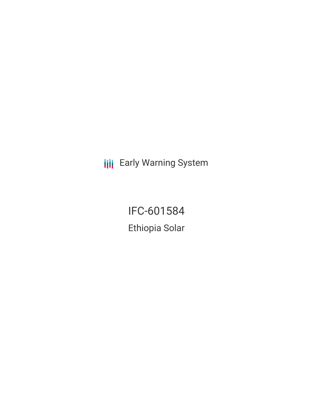**III** Early Warning System

IFC-601584 Ethiopia Solar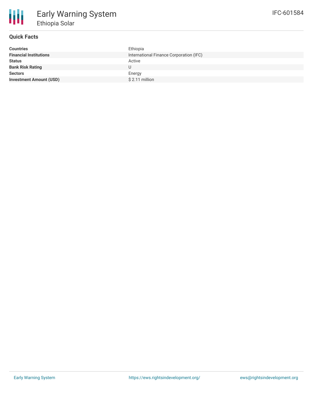## **Quick Facts**

| <b>Countries</b>               | Ethiopia                                |
|--------------------------------|-----------------------------------------|
| <b>Financial Institutions</b>  | International Finance Corporation (IFC) |
| <b>Status</b>                  | Active                                  |
| <b>Bank Risk Rating</b>        |                                         |
| <b>Sectors</b>                 | Energy                                  |
| <b>Investment Amount (USD)</b> | $$2.11$ million                         |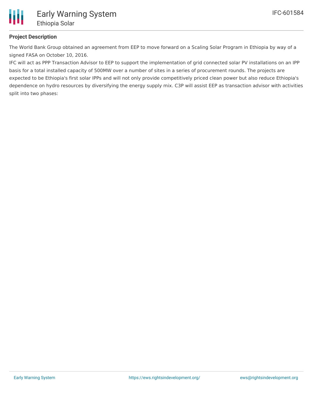

## **Project Description**

The World Bank Group obtained an agreement from EEP to move forward on a Scaling Solar Program in Ethiopia by way of a signed FASA on October 10, 2016.

IFC will act as PPP Transaction Advisor to EEP to support the implementation of grid connected solar PV installations on an IPP basis for a total installed capacity of 500MW over a number of sites in a series of procurement rounds. The projects are expected to be Ethiopia's first solar IPPs and will not only provide competitively priced clean power but also reduce Ethiopia's dependence on hydro resources by diversifying the energy supply mix. C3P will assist EEP as transaction advisor with activities split into two phases: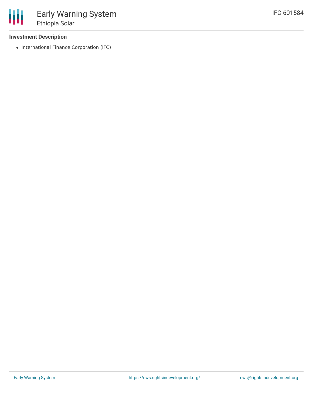## **Investment Description**

• International Finance Corporation (IFC)